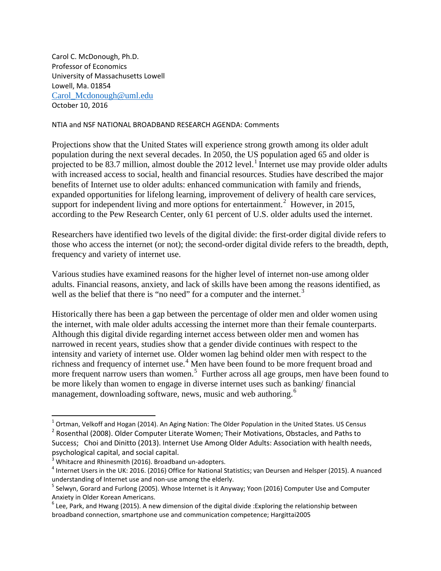Carol C. McDonough, Ph.D. Professor of Economics University of Massachusetts Lowell Lowell, Ma. 01854 [Carol\\_Mcdonough@uml.edu](mailto:Carol_Mcdonough@uml.edu) October 10, 2016

## NTIA and NSF NATIONAL BROADBAND RESEARCH AGENDA: Comments

Projections show that the United States will experience strong growth among its older adult population during the next several decades. In 2050, the US population aged 65 and older is projected to be 83.7 million, almost double the 20[1](#page-0-0)2 level.<sup>1</sup> Internet use may provide older adults with increased access to social, health and financial resources. Studies have described the major benefits of Internet use to older adults: enhanced communication with family and friends, expanded opportunities for lifelong learning, improvement of delivery of health care services, support for independent living and more options for entertainment.<sup>[2](#page-0-1)</sup> However, in 2015, according to the Pew Research Center, only 61 percent of U.S. older adults used the internet.

Researchers have identified two levels of the digital divide: the first-order digital divide refers to those who access the internet (or not); the second-order digital divide refers to the breadth, depth, frequency and variety of internet use.

Various studies have examined reasons for the higher level of internet non-use among older adults. Financial reasons, anxiety, and lack of skills have been among the reasons identified, as well as the belief that there is "no need" for a computer and the internet.<sup>[3](#page-0-2)</sup>

Historically there has been a gap between the percentage of older men and older women using the internet, with male older adults accessing the internet more than their female counterparts. Although this digital divide regarding internet access between older men and women has narrowed in recent years, studies show that a gender divide continues with respect to the intensity and variety of internet use. Older women lag behind older men with respect to the richness and frequency of internet use.<sup>[4](#page-0-3)</sup> Men have been found to be more frequent broad and more frequent narrow users than women.<sup>[5](#page-0-4)</sup> Further across all age groups, men have been found to be more likely than women to engage in diverse internet uses such as banking/ financial management, downloading software, news, music and web authoring.<sup>[6](#page-0-5)</sup>

<span id="page-0-1"></span><span id="page-0-0"></span> $1$  Ortman, Velkoff and Hogan (2014). An Aging Nation: The Older Population in the United States. US Census <sup>2</sup> Rosenthal (2008). Older Computer Literate Women; Their Motivations, Obstacles, and Paths to Success; Choi and Dinitto (2013). Internet Use Among Older Adults: Association with health needs, psychological capital, and social capital.

<span id="page-0-3"></span><span id="page-0-2"></span><sup>&</sup>lt;sup>3</sup> Whitacre and Rhinesmith (2016). Broadband un-adopters.<br><sup>4</sup> Internet Users in the UK: 2016. (2016) Office for National Statistics; van Deursen and Helsper (2015). A nuanced understanding of Internet use and non-use among the elderly.<br><sup>5</sup> Selwyn, Gorard and Furlong (2005). Whose Internet is it Anyway; Yoon (2016) Computer Use and Computer

<span id="page-0-4"></span>Anxiety in Older Korean Americans.

<span id="page-0-5"></span> $6$  Lee, Park, and Hwang (2015). A new dimension of the digital divide : Exploring the relationship between broadband connection, smartphone use and communication competence; Hargittai2005